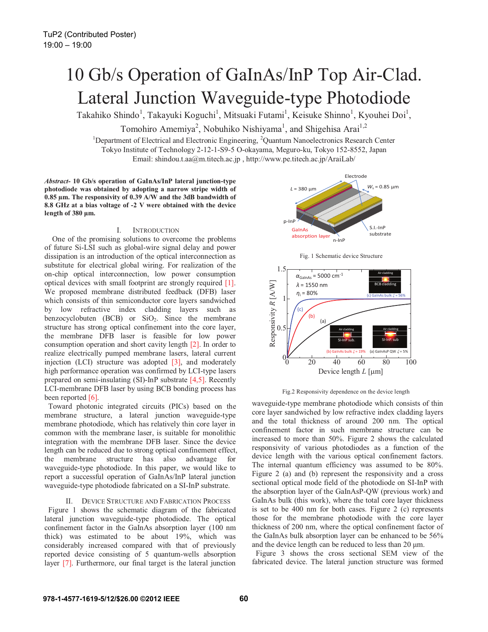# 10 Gb/s Operation of GaInAs/InP Top Air-Clad. Lateral Junction Waveguide-type Photodiode

Takahiko Shindo<sup>1</sup>, Takayuki Koguchi<sup>1</sup>, Mitsuaki Futami<sup>1</sup>, Keisuke Shinno<sup>1</sup>, Kyouhei Doi<sup>1</sup>,

Tomohiro Amemiya<sup>2</sup>, Nobuhiko Nishiyama<sup>1</sup>, and Shigehisa Arai<sup>1,2</sup>

<sup>1</sup>Department of Electrical and Electronic Engineering, <sup>2</sup>Quantum Nanoelectronics Research Center Tokyo Institute of Technology 2-12-1-S9-5 O-okayama, Meguro-ku, Tokyo 152-8552, Japan Email: shindou.t.aa@m.titech.ac.jp , http://www.pe.titech.ac.jp/AraiLab/

*Abstract-* **10 Gb/s operation of GaInAs/InP lateral junction-type photodiode was obtained by adopting a narrow stripe width of 0.85 μm. The responsivity of 0.39 A/W and the 3dB bandwidth of 8.8 GHz at a bias voltage of -2 V were obtained with the device length of 380 μm.** 

# I. INTRODUCTION

 One of the promising solutions to overcome the problems of future Si-LSI such as global-wire signal delay and power dissipation is an introduction of the optical interconnection as substitute for electrical global wiring. For realization of the on-chip optical interconnection, low power consumption optical devices with small footprint are strongly required [1]. We proposed membrane distributed feedback (DFB) laser which consists of thin semiconductor core layers sandwiched by low refractive index cladding layers such as benzocyclobuten (BCB) or  $SiO<sub>2</sub>$ . Since the membrane structure has strong optical confinement into the core layer, the membrane DFB laser is feasible for low power consumption operation and short cavity length [2]. In order to realize electrically pumped membrane lasers, lateral current injection (LCI) structure was adopted [3], and moderately high performance operation was confirmed by LCI-type lasers prepared on semi-insulating (SI)-InP substrate  $[4,5]$ . Recently LCI-membrane DFB laser by using BCB bonding process has been reported [6].

Toward photonic integrated circuits (PICs) based on the membrane structure, a lateral junction waveguide-type membrane photodiode, which has relatively thin core layer in common with the membrane laser, is suitable for monolithic integration with the membrane DFB laser. Since the device length can be reduced due to strong optical confinement effect, the membrane structure has also advantage for waveguide-type photodiode. In this paper, we would like to report a successful operation of GaInAs/InP lateral junction waveguide-type photodiode fabricated on a SI-InP substrate.

## II. DEVICE STRUCTURE AND FABRICATION PROCESS

Figure 1 shows the schematic diagram of the fabricated lateral junction waveguide-type photodiode. The optical confinement factor in the GaInAs absorption layer (100 nm thick) was estimated to be about 19%, which was considerably increased compared with that of previously reported device consisting of 5 quantum-wells absorption layer [7]. Furthermore, our final target is the lateral junction



Fig. 1 Schematic device Structure





waveguide-type membrane photodiode which consists of thin core layer sandwiched by low refractive index cladding layers and the total thickness of around 200 nm. The optical confinement factor in such membrane structure can be increased to more than 50%. Figure 2 shows the calculated responsivity of various photodiodes as a function of the device length with the various optical confinement factors. The internal quantum efficiency was assumed to be 80%. Figure 2 (a) and (b) represent the responsivity and a cross sectional optical mode field of the photodiode on SI-InP with the absorption layer of the GaInAsP-QW (previous work) and GaInAs bulk (this work), where the total core layer thickness is set to be 400 nm for both cases. Figure 2 (c) represents those for the membrane photodiode with the core layer thickness of 200 nm, where the optical confinement factor of the GaInAs bulk absorption layer can be enhanced to be 56% and the device length can be reduced to less than 20 μm.

Figure 3 shows the cross sectional SEM view of the fabricated device. The lateral junction structure was formed